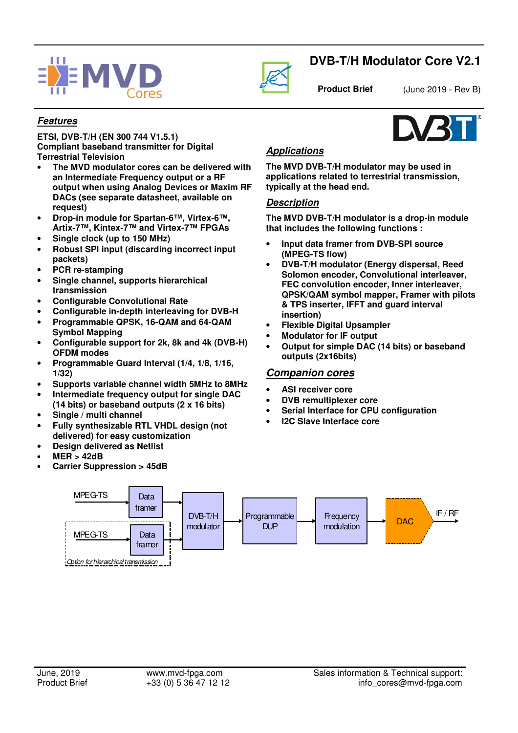



# **DVB-T/H Modulator Core V2.1**

**Product Brief** (June 2019 - Rev B)

## **Features**

**ETSI, DVB-T/H (EN 300 744 V1.5.1) Compliant baseband transmitter for Digital Terrestrial Television** 

- **The MVD modulator cores can be delivered with an Intermediate Frequency output or a RF output when using Analog Devices or Maxim RF DACs (see separate datasheet, available on request)**
- **Drop-in module for Spartan-6™, Virtex-6™, Artix-7™, Kintex-7™ and Virtex-7™ FPGAs**
- **Single clock (up to 150 MHz)**
- **Robust SPI input (discarding incorrect input packets)**
- **PCR re-stamping**
- **Single channel, supports hierarchical transmission**
- **Configurable Convolutional Rate**
- **Configurable in-depth interleaving for DVB-H**
- **Programmable QPSK, 16-QAM and 64-QAM Symbol Mapping**
- **Configurable support for 2k, 8k and 4k (DVB-H) OFDM modes**
- **Programmable Guard Interval (1/4, 1/8, 1/16, 1/32)**
- **Supports variable channel width 5MHz to 8MHz**
- **Intermediate frequency output for single DAC (14 bits) or baseband outputs (2 x 16 bits)**
- **Single / multi channel**
- **Fully synthesizable RTL VHDL design (not delivered) for easy customization**
- **Design delivered as Netlist**
- **MER > 42dB**
- **Carrier Suppression > 45dB**

## **Applications**

**The MVD DVB-T/H modulator may be used in applications related to terrestrial transmission, typically at the head end.**

#### **Description**

**The MVD DVB-T/H modulator is a drop-in module that includes the following functions :** 

- **Input data framer from DVB-SPI source (MPEG-TS flow)**
- **DVB-T/H modulator (Energy dispersal, Reed Solomon encoder, Convolutional interleaver, FEC convolution encoder, Inner interleaver, QPSK/QAM symbol mapper, Framer with pilots & TPS inserter, IFFT and guard interval insertion)**
- **Flexible Digital Upsampler**
- **Modulator for IF output**
- **Output for simple DAC (14 bits) or baseband outputs (2x16bits)**

### **Companion cores**

- **ASI receiver core**
- **DVB remultiplexer core**
- **Serial Interface for CPU configuration**
- **I2C Slave Interface core**